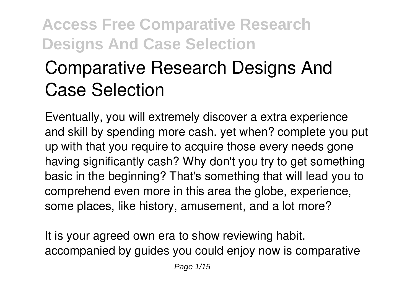# **Comparative Research Designs And Case Selection**

Eventually, you will extremely discover a extra experience and skill by spending more cash. yet when? complete you put up with that you require to acquire those every needs gone having significantly cash? Why don't you try to get something basic in the beginning? That's something that will lead you to comprehend even more in this area the globe, experience, some places, like history, amusement, and a lot more?

It is your agreed own era to show reviewing habit. accompanied by guides you could enjoy now is **comparative**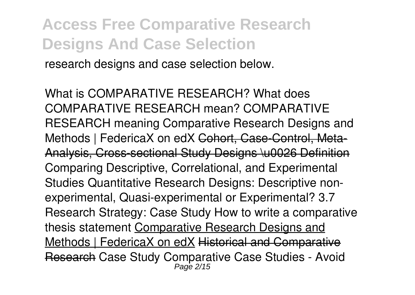**research designs and case selection** below.

*What is COMPARATIVE RESEARCH? What does COMPARATIVE RESEARCH mean? COMPARATIVE RESEARCH meaning* **Comparative Research Designs and** Methods | FedericaX on edX Cohort, Case-Control, Meta-Analysis, Cross-sectional Study Designs \u0026 Definition **Comparing Descriptive, Correlational, and Experimental Studies** *Quantitative Research Designs: Descriptive nonexperimental, Quasi-experimental or Experimental? 3.7 Research Strategy: Case Study How to write a comparative thesis statement* Comparative Research Designs and Methods | FedericaX on edX Historical and Comparative Research Case Study Comparative Case Studies - Avoid Page 2/15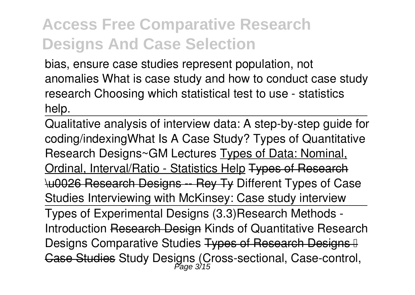bias, ensure case studies represent population, not anomalies **What is case study and how to conduct case study research Choosing which statistical test to use - statistics help.**

Qualitative analysis of interview data: A step-by-step guide for coding/indexing*What Is A Case Study? Types of Quantitative Research Designs~GM Lectures* Types of Data: Nominal, Ordinal, Interval/Ratio - Statistics Help Types of Research \u0026 Research Designs -- Rey Ty *Different Types of Case Studies* **Interviewing with McKinsey: Case study interview** Types of Experimental Designs (3.3)*Research Methods - Introduction* Research Design *Kinds of Quantitative Research Designs* Comparative Studies Types of Research Designs – Case Studies *Study Designs (Cross-sectional, Case-control,* Page 3/15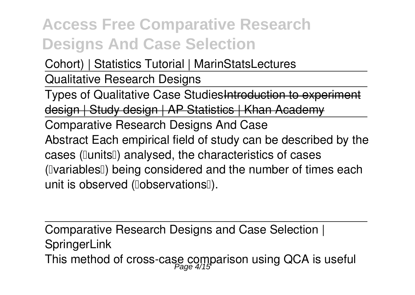*Cohort) | Statistics Tutorial | MarinStatsLectures*

Qualitative Research Designs

Types of Qualitative Case Studies Introduction to design | Study design | AP Statistics | Khan A

Comparative Research Designs And Case Abstract Each empirical field of study can be described by the cases ([lunits]]) analysed, the characteristics of cases (IvariablesI) being considered and the number of times each unit is observed (lobservationsl).

Comparative Research Designs and Case Selection | **SpringerLink** This method of cross-case comparison using QCA is useful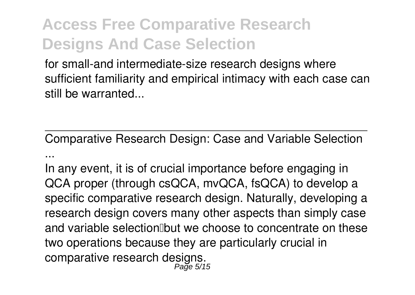for small-and intermediate-size research designs where sufficient familiarity and empirical intimacy with each case can still be warranted.

Comparative Research Design: Case and Variable Selection ...

In any event, it is of crucial importance before engaging in QCA proper (through csQCA, mvQCA, fsQCA) to develop a specific comparative research design. Naturally, developing a research design covers many other aspects than simply case and variable selection but we choose to concentrate on these two operations because they are particularly crucial in comparative research designs. Page 5/15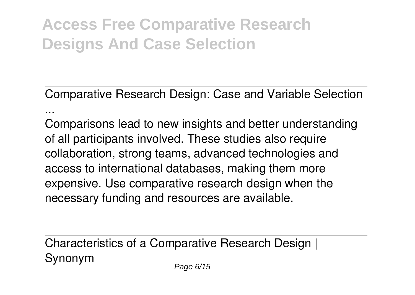Comparative Research Design: Case and Variable Selection ...

Comparisons lead to new insights and better understanding of all participants involved. These studies also require collaboration, strong teams, advanced technologies and access to international databases, making them more expensive. Use comparative research design when the necessary funding and resources are available.

Characteristics of a Comparative Research Design | Synonym Page 6/15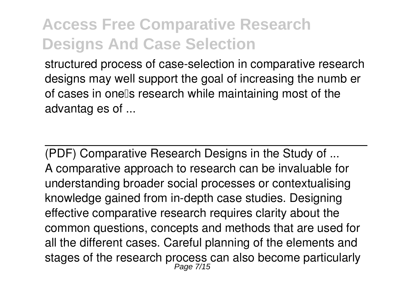structured process of case-selection in comparative research designs may well support the goal of increasing the numb er of cases in onells research while maintaining most of the advantag es of ...

(PDF) Comparative Research Designs in the Study of ... A comparative approach to research can be invaluable for understanding broader social processes or contextualising knowledge gained from in-depth case studies. Designing effective comparative research requires clarity about the common questions, concepts and methods that are used for all the different cases. Careful planning of the elements and stages of the research process can also become particularly Page 7/15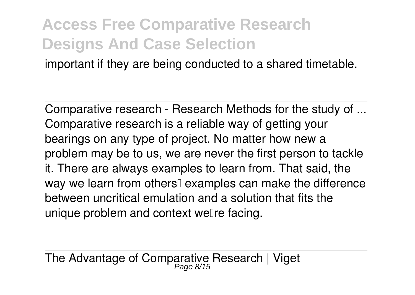important if they are being conducted to a shared timetable.

Comparative research - Research Methods for the study of ... Comparative research is a reliable way of getting your bearings on any type of project. No matter how new a problem may be to us, we are never the first person to tackle it. There are always examples to learn from. That said, the way we learn from others<sup>[]</sup> examples can make the difference between uncritical emulation and a solution that fits the unique problem and context well re facing.

The Advantage of Comparative Research | Viget Page 8/15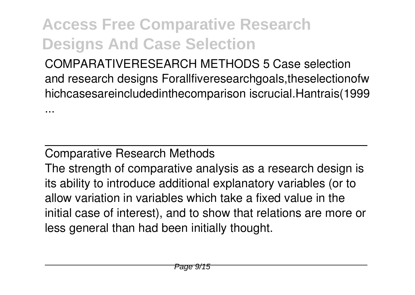COMPARATIVERESEARCH METHODS 5 Case selection and research designs Forallfiveresearchgoals, theselectionofw hichcasesareincludedinthecomparison iscrucial.Hantrais(1999

#### Comparative Research Methods

...

The strength of comparative analysis as a research design is its ability to introduce additional explanatory variables (or to allow variation in variables which take a fixed value in the initial case of interest), and to show that relations are more or less general than had been initially thought.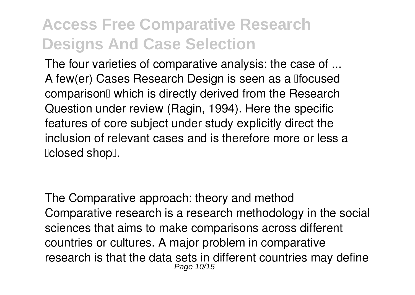The four varieties of comparative analysis: the case of ... A few(er) Cases Research Design is seen as a lifocused comparison<sup> $\alpha$ </sup> which is directly derived from the Research Question under review (Ragin, 1994). Here the specific features of core subject under study explicitly direct the inclusion of relevant cases and is therefore more or less a 'closed shop'.

The Comparative approach: theory and method Comparative research is a research methodology in the social sciences that aims to make comparisons across different countries or cultures. A major problem in comparative research is that the data sets in different countries may define Page 10/15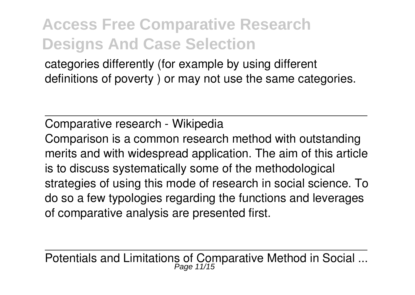categories differently (for example by using different definitions of poverty ) or may not use the same categories.

Comparative research - Wikipedia

Comparison is a common research method with outstanding merits and with widespread application. The aim of this article is to discuss systematically some of the methodological strategies of using this mode of research in social science. To do so a few typologies regarding the functions and leverages of comparative analysis are presented first.

Potentials and Limitations of Comparative Method in Social ... Page 11/15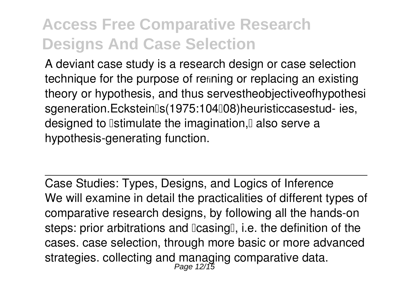A deviant case study is a research design or case selection technique for the purpose of refining or replacing an existing theory or hypothesis, and thus servestheobjectiveofhypothesi sgeneration.Eckstein[s(1975:104[08)heuristiccasestud- ies. designed to **Istimulate the imagination**. I also serve a hypothesis-generating function.

Case Studies: Types, Designs, and Logics of Inference We will examine in detail the practicalities of different types of comparative research designs, by following all the hands-on steps: prior arbitrations and  $\text{Icasing}$ , i.e. the definition of the cases. case selection, through more basic or more advanced strategies. collecting and managing comparative data.<br>Page 12/15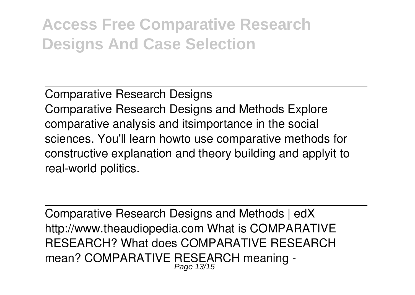Comparative Research Designs Comparative Research Designs and Methods Explore comparative analysis and itsimportance in the social sciences. You'll learn howto use comparative methods for constructive explanation and theory building and applyit to real-world politics.

Comparative Research Designs and Methods | edX http://www.theaudiopedia.com What is COMPARATIVE RESEARCH? What does COMPARATIVE RESEARCH mean? COMPARATIVE RESEARCH meaning - Page 13/15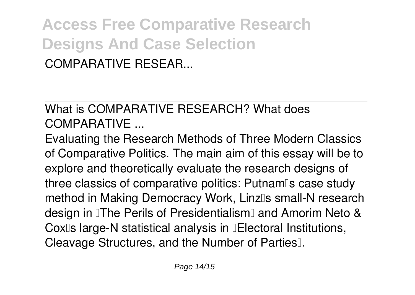**Access Free Comparative Research Designs And Case Selection** COMPARATIVE RESEAR...

What is COMPARATIVE RESEARCH? What does COMPARATIVE ...

Evaluating the Research Methods of Three Modern Classics of Comparative Politics. The main aim of this essay will be to explore and theoretically evaluate the research designs of three classics of comparative politics: Putnam<sup>®</sup>s case study method in Making Democracy Work, Linzlls small-N research design in The Perils of Presidentialism and Amorim Neto & Cox<sup>[]</sup>s large-N statistical analysis in **[Electoral Institutions,** Cleavage Structures, and the Number of Parties<sup>[]</sup>.